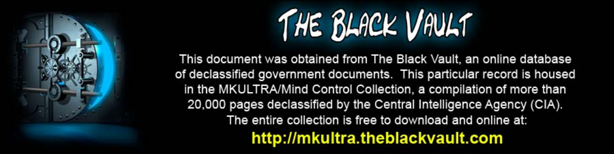

This document was obtained from The Black Vault, an online database of declassified government documents. This particular record is housed in the MKULTRA/Mind Control Collection, a compilation of more than 20,000 pages declassified by the Central Intelligence Agency (CIA). The entire collection is free to download and online at: http://mkultra.theblackvault.com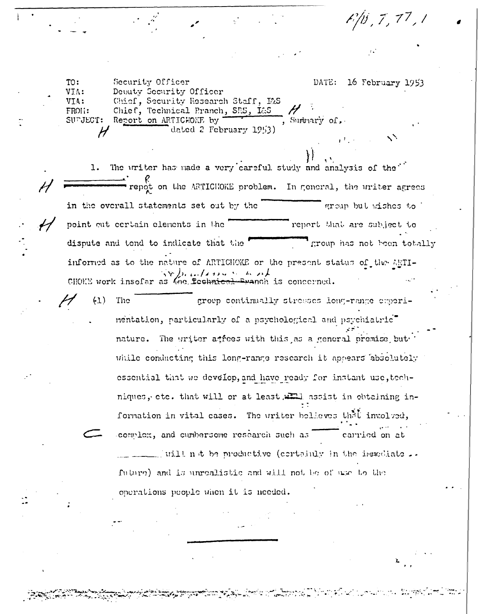F/b , 7 , 77 , 1

TO: Security Officer DATE: 16 February 1953 VIA: Debuty Security Officer Chief, Security Research Staff, L&S VIA: FROL: Chief, Technical Pranch, SRS, I&S SUPJECT: Report on ARTICHOKE by , Summary of dated 2 February 1953) H ヾ

The writer has made a very careful study and analysis of the"  $1.$ Fig. K on the ARTICHOKE problem. In general, the writer agrees in the overall statements set out by the group but wishes to point out certain elements in the report that are subject to dispute and tend to indicate that the group has not been totally informed as to the nature of ARTICHOKE or the present status of the ARTI-CHOKE work insofar as the foculation is concerned.

 $(1)$ The group continually stresses long-range experinentation, particularly of a psychological and psychiatric" nature. The writer atrees with this as a general premise but while conducting this long-range research it appears absolutely essential that we develop, and have ready for instant use, techniques, etc. that will or at least, will assist in obtaining information in vital cases. The writer believes that involved, complex, and cumbersome research such as carried on at \_\_ will not be productive (cortainly in the immediate .. future) and is unrealistic and will not be of use to the operations people when it is needed.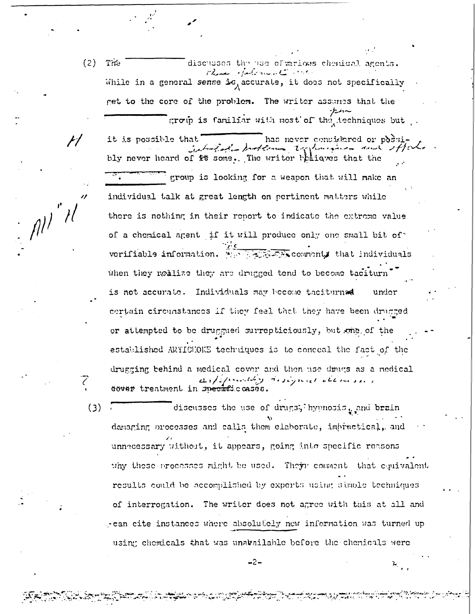$(2)$ Tite

 $(3)$ 

 $\mathbb{R}^{n^{\prime}}$ 

Chase Martine B. Care While in a general sense is, accurate, it does not specifically get to the core of the problem. The writer assumes that the group is familiar with most of the techniques but.

discusses the use effarious chemical agents.

has never considered or possiit is possible that interfact problems tophonomics and ifto bly never heard of it some. The writer bain wes that the group is looking for a weapon that will make an individual talk at great length on pertinent matters while there is nothing in their report to indicate the extreme value of a chemical agent if it will produce only one small bit of. verifiable information. We have comments that individuals when they realize they are drugged tend to become taciturn is not accurate. Individuals may become taciturnad under certain circumstances if they feel that they have been drugged or attempted to be druggued surrepticiously, but one of the established ARTICHOKE techniques is to conceal the fact of the drugging behind a medical cover and then use drugs as a nedical and presently designed them sees dover treatment in specific cases.

discusses the use of drugs, hypnosis, and brain damaging processes and calls them elaborate, impractical, and unnecessary without, it appears, going into specific reasons why these processes might be used. Their consent that equivalent results could be accomplished by experts using simple techniques of interrogation. The writer does not agree with this at all and - can cite instances where absolutely new information was turned up using chemicals that was unavailable before the chemicals were

-2-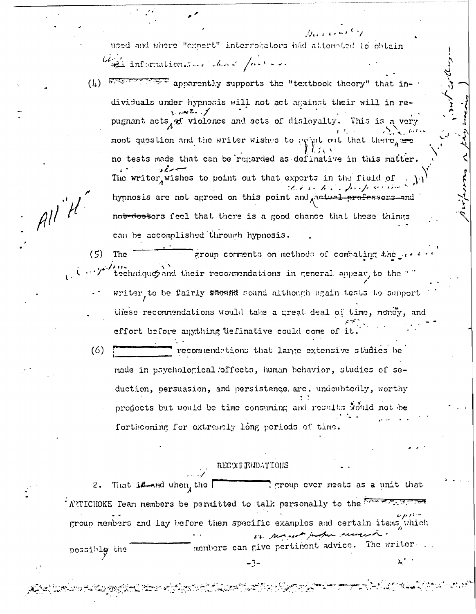used and where "expert" interrokators had attempted to obtain

agli informationative chart faction

 $All^H$ 

we apparently supports the "textbook theory" that in- $(L)$ dividuals under hypnosis will not act against their will in repugnant acts, of violence and acts of disloyalty. This is a very moot question and the writer wishes to popul out that there, are no tests made that can be regarded as definative in this matter. The writer wishes to point out that experts in the field of hypnosis are not agreed on this point and radial <del>profe</del>ssors—and notrdootors feel that there is a good chance that these things can be accomplished through hypnosis.

 $(5)$ group comments on methods of combating the re-The technique and their recommendations in general appear, to the  $\leq$ writer to be fairly shound sound although again tests to support these recommendations would take a great deal of time, noncy, and effort before anything definative could come of it

 $(6)$ recommendations that large extensive studies be made in psychological offects, human behavior, studies of seduction, persuasion, and persistence. are, undoubtedly, worthy products but would be time consuming and results would not be forthcoming for extremely long periods of time.

## RECOLL ENDATIONS

That is need when, the  $\Gamma$ I group ever meets as a unit that  $2.$ 'ATTICHOKE Tean members be permitted to talk personally to the westername group members and lay before them specific examples and certain items which in neared Justice ceremon. members can give pertinent advice. The writer possibly the

-3-